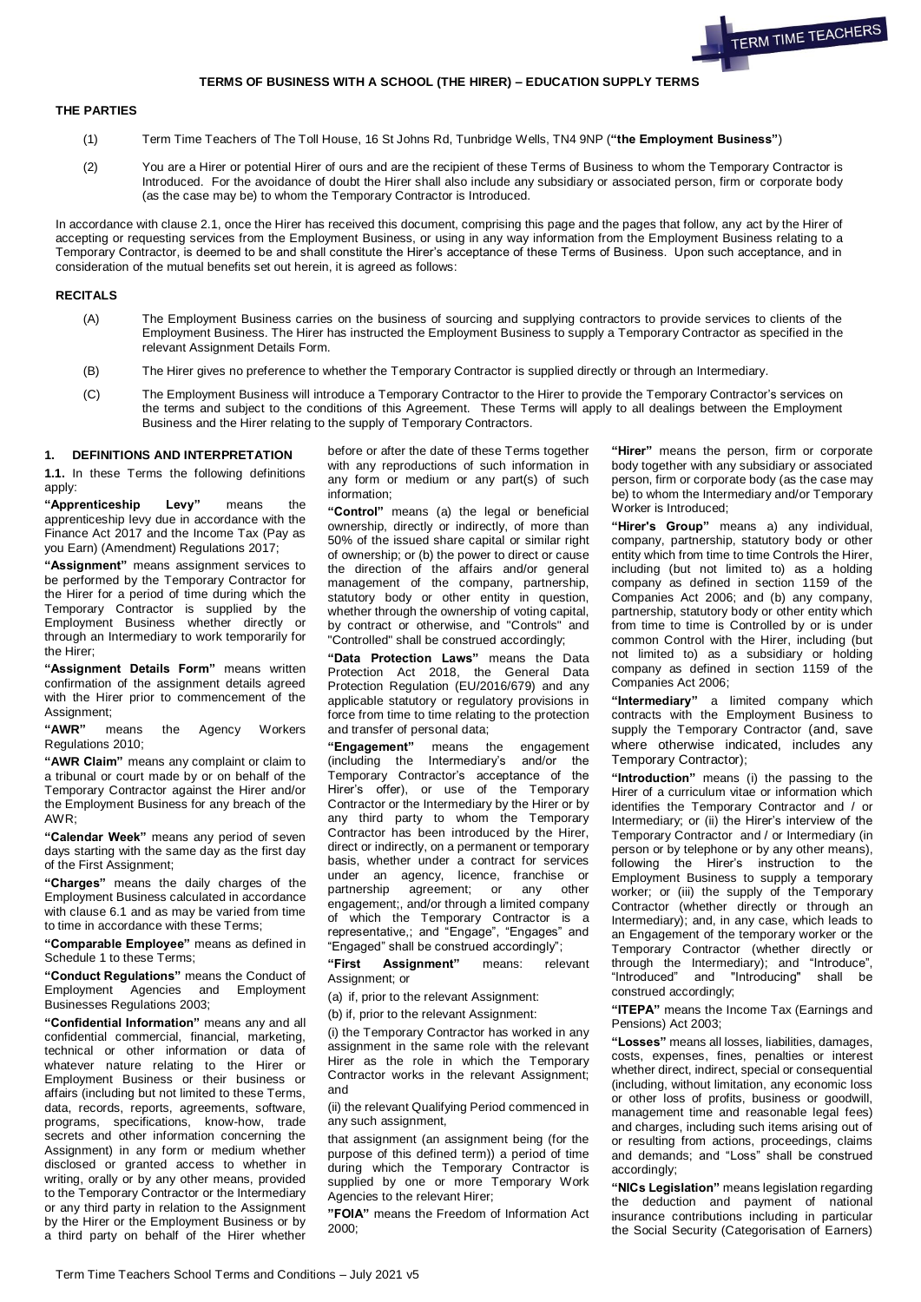

# **TERMS OF BUSINESS WITH A SCHOOL (THE HIRER) – EDUCATION SUPPLY TERMS**

## **THE PARTIES**

- (1) Term Time Teachers of The Toll House, 16 St Johns Rd, Tunbridge Wells, TN4 9NP (**"the Employment Business"**)
- (2) You are a Hirer or potential Hirer of ours and are the recipient of these Terms of Business to whom the Temporary Contractor is Introduced. For the avoidance of doubt the Hirer shall also include any subsidiary or associated person, firm or corporate body (as the case may be) to whom the Temporary Contractor is Introduced.

In accordance with clause 2.1, once the Hirer has received this document, comprising this page and the pages that follow, any act by the Hirer of accepting or requesting services from the Employment Business, or using in any way information from the Employment Business relating to a Temporary Contractor, is deemed to be and shall constitute the Hirer's acceptance of these Terms of Business. Upon such acceptance, and in consideration of the mutual benefits set out herein, it is agreed as follows:

## **RECITALS**

- (A) The Employment Business carries on the business of sourcing and supplying contractors to provide services to clients of the Employment Business. The Hirer has instructed the Employment Business to supply a Temporary Contractor as specified in the relevant Assignment Details Form.
- (B) The Hirer gives no preference to whether the Temporary Contractor is supplied directly or through an Intermediary.
- (C) The Employment Business will introduce a Temporary Contractor to the Hirer to provide the Temporary Contractor's services on the terms and subject to the conditions of this Agreement. These Terms will apply to all dealings between the Employment Business and the Hirer relating to the supply of Temporary Contractors.

#### **1. DEFINITIONS AND INTERPRETATION**

**1.1.** In these Terms the following definitions apply:

**"Apprenticeship Levy"** means the apprenticeship levy due in accordance with the Finance Act 2017 and the Income Tax (Pay as you Earn) (Amendment) Regulations 2017;

**"Assignment"** means assignment services to be performed by the Temporary Contractor for the Hirer for a period of time during which the Temporary Contractor is supplied by the Employment Business whether directly or through an Intermediary to work temporarily for the Hirer;

**"Assignment Details Form"** means written confirmation of the assignment details agreed with the Hirer prior to commencement of the Assignment;

**"AWR"** means the Agency Workers Regulations 2010;

**"AWR Claim"** means any complaint or claim to a tribunal or court made by or on behalf of the Temporary Contractor against the Hirer and/or the Employment Business for any breach of the AWR;

**"Calendar Week"** means any period of seven days starting with the same day as the first day of the First Assignment;

**"Charges"** means the daily charges of the Employment Business calculated in accordance with clause 6.1 and as may be varied from time to time in accordance with these Terms;

**"Comparable Employee"** means as defined in Schedule 1 to these Terms;

**"Conduct Regulations"** means the Conduct of Employment Agencies and Employment Businesses Regulations 2003;

**"Confidential Information"** means any and all confidential commercial, financial, marketing, technical or other information or data of whatever nature relating to the Hirer or Employment Business or their business or affairs (including but not limited to these Terms, data, records, reports, agreements, software, programs, specifications, know-how, trade secrets and other information concerning the Assignment) in any form or medium whether disclosed or granted access to whether in writing, orally or by any other means, provided to the Temporary Contractor or the Intermediary or any third party in relation to the Assignment by the Hirer or the Employment Business or by a third party on behalf of the Hirer whether

before or after the date of these Terms together with any reproductions of such information in any form or medium or any part(s) of such information;

**"Control"** means (a) the legal or beneficial ownership, directly or indirectly, of more than 50% of the issued share capital or similar right of ownership; or (b) the power to direct or cause the direction of the affairs and/or general management of the company, partnership, statutory body or other entity in question, whether through the ownership of voting capital, by contract or otherwise, and "Controls" and "Controlled" shall be construed accordingly;

**"Data Protection Laws"** means the Data Protection Act 2018, the General Data Protection Regulation (EU/2016/679) and any applicable statutory or regulatory provisions in force from time to time relating to the protection and transfer of personal data;

**"Engagement"** means the engagement (including the Intermediary's and/or the Temporary Contractor's acceptance of the Hirer's offer), or use of the Temporary Contractor or the Intermediary by the Hirer or by any third party to whom the Temporary Contractor has been introduced by the Hirer, direct or indirectly, on a permanent or temporary basis, whether under a contract for services under an agency, licence, franchise or partnership agreement; or any other engagement;, and/or through a limited company of which the Temporary Contractor is a representative,; and "Engage", "Engages" and "Engaged" shall be construed accordingly";

**"First Assignment"** means: relevant Assignment; or

(a) if, prior to the relevant Assignment:

(b) if, prior to the relevant Assignment:

(i) the Temporary Contractor has worked in any assignment in the same role with the relevant Hirer as the role in which the Temporary Contractor works in the relevant Assignment; and

(ii) the relevant Qualifying Period commenced in any such assignment,

that assignment (an assignment being (for the purpose of this defined term)) a period of time during which the Temporary Contractor is supplied by one or more Temporary Work Agencies to the relevant Hirer;

**"FOIA"** means the Freedom of Information Act 2000;

**"Hirer"** means the person, firm or corporate body together with any subsidiary or associated person, firm or corporate body (as the case may be) to whom the Intermediary and/or Temporary Worker is Introduced;

**"Hirer's Group"** means a) any individual, company, partnership, statutory body or other entity which from time to time Controls the Hirer, including (but not limited to) as a holding company as defined in section 1159 of the Companies Act 2006; and (b) any company, partnership, statutory body or other entity which from time to time is Controlled by or is under common Control with the Hirer, including (but not limited to) as a subsidiary or holding company as defined in section 1159 of the Companies Act 2006;

**"Intermediary"** a limited company which contracts with the Employment Business to supply the Temporary Contractor (and, save where otherwise indicated, includes any Temporary Contractor);

**"Introduction"** means (i) the passing to the Hirer of a curriculum vitae or information which identifies the Temporary Contractor and / or Intermediary; or (ii) the Hirer's interview of the Temporary Contractor and / or Intermediary (in person or by telephone or by any other means), following the Hirer's instruction to the Employment Business to supply a temporary worker; or (iii) the supply of the Temporary Contractor (whether directly or through an Intermediary); and, in any case, which leads to an Engagement of the temporary worker or the Temporary Contractor (whether directly or through the Intermediary); and "Introduce", "Introduced" and "Introducing" shall be construed accordingly;

**"ITEPA"** means the Income Tax (Earnings and Pensions) Act 2003;

**"Losses"** means all losses, liabilities, damages, costs, expenses, fines, penalties or interest whether direct, indirect, special or consequential (including, without limitation, any economic loss or other loss of profits, business or goodwill, management time and reasonable legal fees) and charges, including such items arising out of or resulting from actions, proceedings, claims and demands; and "Loss" shall be construed accordingly;

**"NICs Legislation"** means legislation regarding the deduction and payment of national insurance contributions including in particular the Social Security (Categorisation of Earners)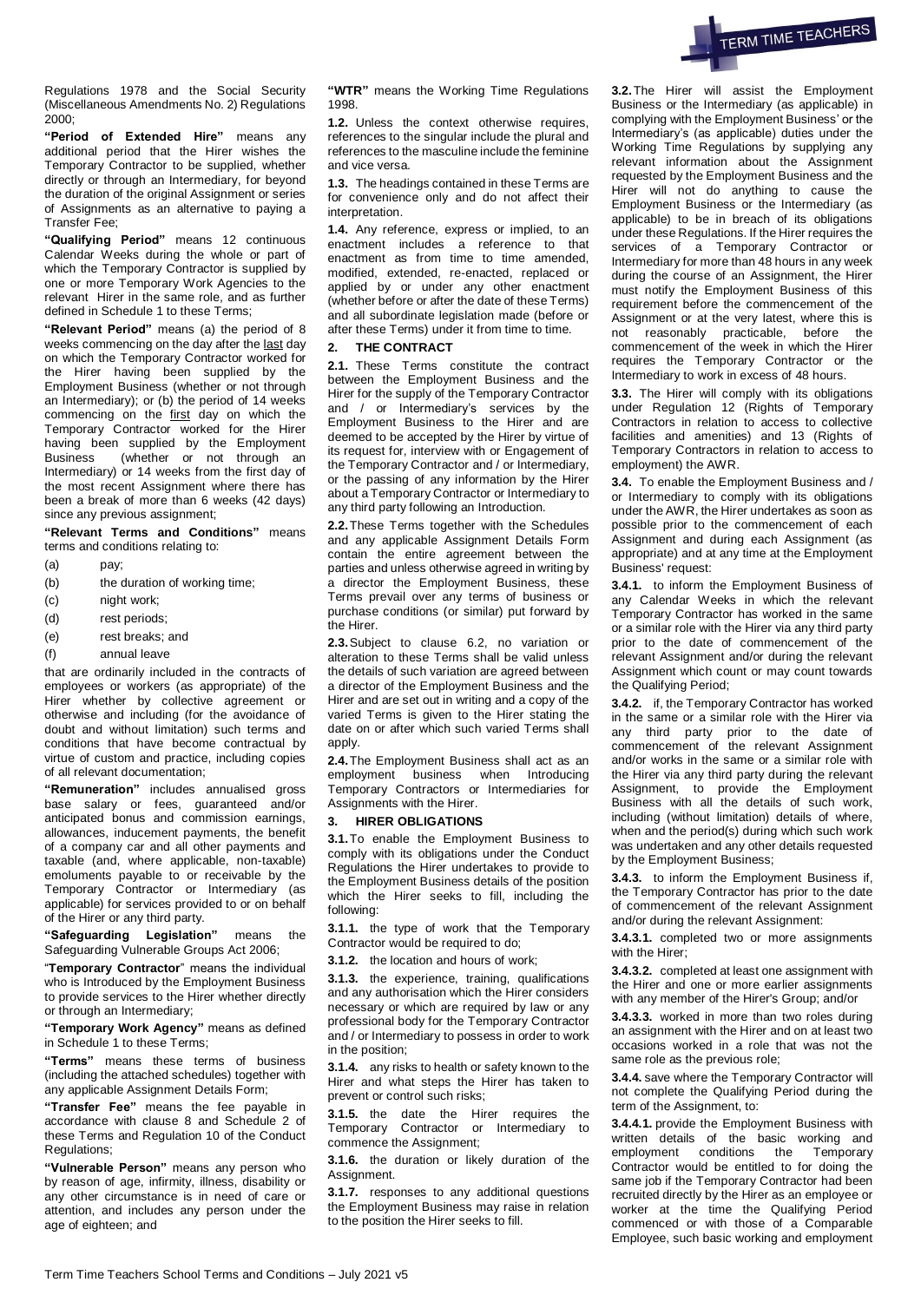

Regulations 1978 and the Social Security (Miscellaneous Amendments No. 2) Regulations 2000;

**"Period of Extended Hire"** means any additional period that the Hirer wishes the Temporary Contractor to be supplied, whether directly or through an Intermediary, for beyond the duration of the original Assignment or series of Assignments as an alternative to paying a Transfer Fee;

**"Qualifying Period"** means 12 continuous Calendar Weeks during the whole or part of which the Temporary Contractor is supplied by one or more Temporary Work Agencies to the relevant Hirer in the same role, and as further defined in Schedule 1 to these Terms;

**"Relevant Period"** means (a) the period of 8 weeks commencing on the day after the last day on which the Temporary Contractor worked for the Hirer having been supplied by the Employment Business (whether or not through an Intermediary); or (b) the period of 14 weeks commencing on the first day on which the Temporary Contractor worked for the Hirer having been supplied by the Employment Business (whether or not through an Intermediary) or 14 weeks from the first day of the most recent Assignment where there has been a break of more than 6 weeks (42 days) since any previous assignment;

**"Relevant Terms and Conditions"** means terms and conditions relating to:

- (a) pay;
- (b) the duration of working time:
- (c) night work;
- (d) rest periods;
- (e) rest breaks; and
- (f) annual leave

that are ordinarily included in the contracts of employees or workers (as appropriate) of the Hirer whether by collective agreement or otherwise and including (for the avoidance of doubt and without limitation) such terms and conditions that have become contractual by virtue of custom and practice, including copies of all relevant documentation;

**"Remuneration"** includes annualised gross base salary or fees, guaranteed and/or anticipated bonus and commission earnings, allowances, inducement payments, the benefit of a company car and all other payments and taxable (and, where applicable, non-taxable) emoluments payable to or receivable by the Temporary Contractor or Intermediary (as applicable) for services provided to or on behalf of the Hirer or any third party.

**"Safeguarding Legislation"** means the Safeguarding Vulnerable Groups Act 2006;

"**Temporary Contractor**" means the individual who is Introduced by the Employment Business to provide services to the Hirer whether directly or through an Intermediary;

**"Temporary Work Agency"** means as defined in Schedule 1 to these Terms;

**"Terms"** means these terms of business (including the attached schedules) together with any applicable Assignment Details Form;

**"Transfer Fee"** means the fee payable in accordance with clause 8 and Schedule 2 of these Terms and Regulation 10 of the Conduct Regulations;

**"Vulnerable Person"** means any person who by reason of age, infirmity, illness, disability or any other circumstance is in need of care or attention, and includes any person under the age of eighteen; and

**"WTR"** means the Working Time Regulations 1998.

**1.2.** Unless the context otherwise requires, references to the singular include the plural and references to the masculine include the feminine and vice versa.

**1.3.** The headings contained in these Terms are for convenience only and do not affect their interpretation.

**1.4.** Any reference, express or implied, to an enactment includes a reference to that enactment as from time to time amended, modified, extended, re-enacted, replaced or applied by or under any other enactment (whether before or after the date of these Terms) and all subordinate legislation made (before or after these Terms) under it from time to time.

## **2. THE CONTRACT**

**2.1.** These Terms constitute the contract between the Employment Business and the Hirer for the supply of the Temporary Contractor and / or Intermediary's services by the Employment Business to the Hirer and are deemed to be accepted by the Hirer by virtue of its request for, interview with or Engagement of the Temporary Contractor and / or Intermediary, or the passing of any information by the Hirer about a Temporary Contractor or Intermediary to any third party following an Introduction.

**2.2.**These Terms together with the Schedules and any applicable Assignment Details Form contain the entire agreement between the parties and unless otherwise agreed in writing by a director the Employment Business, these Terms prevail over any terms of business or purchase conditions (or similar) put forward by the Hirer.

**2.3.**Subject to clause 6.2, no variation or alteration to these Terms shall be valid unless the details of such variation are agreed between a director of the Employment Business and the Hirer and are set out in writing and a copy of the varied Terms is given to the Hirer stating the date on or after which such varied Terms shall apply.

**2.4.**The Employment Business shall act as an employment business when Introducing Temporary Contractors or Intermediaries for Assignments with the Hirer.

## **3. HIRER OBLIGATIONS**

**3.1.**To enable the Employment Business to comply with its obligations under the Conduct Regulations the Hirer undertakes to provide to the Employment Business details of the position which the Hirer seeks to fill, including the following:

**3.1.1.** the type of work that the Temporary Contractor would be required to do:

**3.1.2.** the location and hours of work;

**3.1.3.** the experience, training, qualifications and any authorisation which the Hirer considers necessary or which are required by law or any professional body for the Temporary Contractor and / or Intermediary to possess in order to work in the position;

**3.1.4.** any risks to health or safety known to the Hirer and what steps the Hirer has taken to prevent or control such risks;

**3.1.5.** the date the Hirer requires the Temporary Contractor or Intermediary to commence the Assignment;

**3.1.6.** the duration or likely duration of the Assignment.

**3.1.7.** responses to any additional questions the Employment Business may raise in relation to the position the Hirer seeks to fill.

**3.2.**The Hirer will assist the Employment Business or the Intermediary (as applicable) in complying with the Employment Business' or the Intermediary's (as applicable) duties under the Working Time Regulations by supplying any relevant information about the Assignment requested by the Employment Business and the Hirer will not do anything to cause the Employment Business or the Intermediary (as applicable) to be in breach of its obligations under these Regulations. If the Hirer requires the services of a Temporary Contractor or Intermediary for more than 48 hours in any week during the course of an Assignment, the Hirer must notify the Employment Business of this requirement before the commencement of the Assignment or at the very latest, where this is not reasonably practicable, before the commencement of the week in which the Hirer requires the Temporary Contractor or the Intermediary to work in excess of 48 hours.

**3.3.** The Hirer will comply with its obligations under Regulation 12 (Rights of Temporary Contractors in relation to access to collective facilities and amenities) and 13 (Rights of Temporary Contractors in relation to access to employment) the AWR.

<span id="page-1-0"></span>**3.4.** To enable the Employment Business and / or Intermediary to comply with its obligations under the AWR, the Hirer undertakes as soon as possible prior to the commencement of each Assignment and during each Assignment (as appropriate) and at any time at the Employment Business' request:

**3.4.1.** to inform the Employment Business of any Calendar Weeks in which the relevant Temporary Contractor has worked in the same or a similar role with the Hirer via any third party prior to the date of commencement of the relevant Assignment and/or during the relevant Assignment which count or may count towards the Qualifying Period;

**3.4.2.** if, the Temporary Contractor has worked in the same or a similar role with the Hirer via any third party prior to the date of commencement of the relevant Assignment and/or works in the same or a similar role with the Hirer via any third party during the relevant Assignment, to provide the Employment Business with all the details of such work, including (without limitation) details of where, when and the period(s) during which such work was undertaken and any other details requested by the Employment Business;

**3.4.3.** to inform the Employment Business if, the Temporary Contractor has prior to the date of commencement of the relevant Assignment and/or during the relevant Assignment:

**3.4.3.1.** completed two or more assignments with the Hirer;

**3.4.3.2.** completed at least one assignment with the Hirer and one or more earlier assignments with any member of the Hirer's Group; and/or

**3.4.3.3.** worked in more than two roles during an assignment with the Hirer and on at least two occasions worked in a role that was not the same role as the previous role;

**3.4.4.** save where the Temporary Contractor will not complete the Qualifying Period during the term of the Assignment, to:

**3.4.4.1.** provide the Employment Business with written details of the basic working and employment conditions the Temporary Contractor would be entitled to for doing the same job if the Temporary Contractor had been recruited directly by the Hirer as an employee or worker at the time the Qualifying Period commenced or with those of a Comparable Employee, such basic working and employment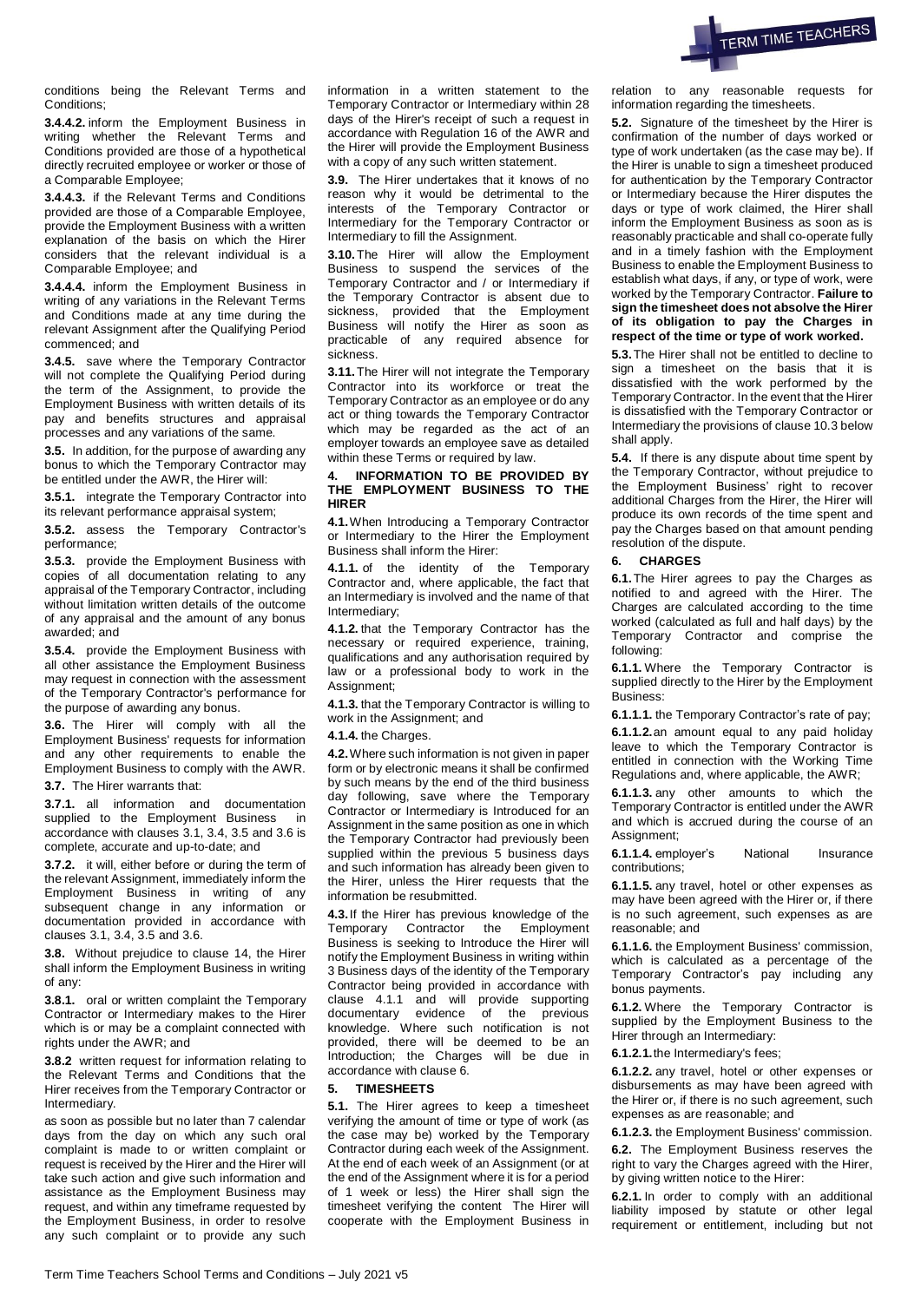

conditions being the Relevant Terms and Conditions;

**3.4.4.2.** inform the Employment Business in writing whether the Relevant Terms and Conditions provided are those of a hypothetical directly recruited employee or worker or those of a Comparable Employee;

**3.4.4.3.** if the Relevant Terms and Conditions provided are those of a Comparable Employee, provide the Employment Business with a written explanation of the basis on which the Hirer considers that the relevant individual is a Comparable Employee; and

**3.4.4.4.** inform the Employment Business in writing of any variations in the Relevant Terms and Conditions made at any time during the relevant Assignment after the Qualifying Period commenced; and

**3.4.5.** save where the Temporary Contractor will not complete the Qualifying Period during the term of the Assignment, to provide the Employment Business with written details of its pay and benefits structures and appraisal processes and any variations of the same.

<span id="page-2-0"></span>**3.5.** In addition, for the purpose of awarding any bonus to which the Temporary Contractor may be entitled under the AWR, the Hirer will:

**3.5.1.** integrate the Temporary Contractor into its relevant performance appraisal system;

**3.5.2.** assess the Temporary Contractor's performance;

**3.5.3.** provide the Employment Business with copies of all documentation relating to any appraisal of the Temporary Contractor, including without limitation written details of the outcome of any appraisal and the amount of any bonus awarded; and

**3.5.4.** provide the Employment Business with all other assistance the Employment Business may request in connection with the assessment of the Temporary Contractor's performance for the purpose of awarding any bonus.

<span id="page-2-1"></span>**3.6.** The Hirer will comply with all the Employment Business' requests for information and any other requirements to enable the Employment Business to comply with the AWR.

**3.7.** The Hirer warrants that:

**3.7.1.** all information and documentation supplied to the Employment Business in accordance with clauses 3.1, [3.4,](#page-1-0) [3.5](#page-2-0) and [3.6](#page-2-1) is complete, accurate and up-to-date; and

**3.7.2.** it will, either before or during the term of the relevant Assignment, immediately inform the Employment Business in writing of any subsequent change in any information or documentation provided in accordance with clauses 3.1[, 3.4,](#page-1-0) [3.5](#page-2-0) and [3.6.](#page-2-1)

**3.8.** Without prejudice to clause 14, the Hirer shall inform the Employment Business in writing of any:

**3.8.1.** oral or written complaint the Temporary Contractor or Intermediary makes to the Hirer which is or may be a complaint connected with rights under the AWR; and

**3.8.2** written request for information relating to the Relevant Terms and Conditions that the Hirer receives from the Temporary Contractor or Intermediary.

as soon as possible but no later than 7 calendar days from the day on which any such oral complaint is made to or written complaint or request is received by the Hirer and the Hirer will take such action and give such information and assistance as the Employment Business may request, and within any timeframe requested by the Employment Business, in order to resolve any such complaint or to provide any such information in a written statement to the Temporary Contractor or Intermediary within 28 days of the Hirer's receipt of such a request in accordance with Regulation 16 of the AWR and the Hirer will provide the Employment Business with a copy of any such written statement.

**3.9.** The Hirer undertakes that it knows of no reason why it would be detrimental to the interests of the Temporary Contractor or Intermediary for the Temporary Contractor or Intermediary to fill the Assignment.

**3.10.**The Hirer will allow the Employment Business to suspend the services of the Temporary Contractor and / or Intermediary if the Temporary Contractor is absent due to sickness, provided that the Employment Business will notify the Hirer as soon as practicable of any required absence for sickness.

**3.11.**The Hirer will not integrate the Temporary Contractor into its workforce or treat the Temporary Contractor as an employee or do any act or thing towards the Temporary Contractor which may be regarded as the act of an employer towards an employee save as detailed within these Terms or required by law.

## **4. INFORMATION TO BE PROVIDED BY THE EMPLOYMENT BUSINESS TO THE HIRER**

**4.1.**When Introducing a Temporary Contractor or Intermediary to the Hirer the Employment Business shall inform the Hirer:

**4.1.1.** of the identity of the Temporary Contractor and, where applicable, the fact that an Intermediary is involved and the name of that Intermediary;

**4.1.2.** that the Temporary Contractor has the necessary or required experience, training, qualifications and any authorisation required by law or a professional body to work in the Assignment;

**4.1.3.** that the Temporary Contractor is willing to work in the Assignment; and

#### **4.1.4.** the Charges.

**4.2.**Where such information is not given in paper form or by electronic means it shall be confirmed by such means by the end of the third business day following, save where the Temporary Contractor or Intermediary is Introduced for an Assignment in the same position as one in which the Temporary Contractor had previously been supplied within the previous 5 business days and such information has already been given to the Hirer, unless the Hirer requests that the information be resubmitted.

**4.3.**If the Hirer has previous knowledge of the Temporary Contractor the Employment Business is seeking to Introduce the Hirer will notify the Employment Business in writing within 3 Business days of the identity of the Temporary Contractor being provided in accordance with clause 4.1.1 and will provide supporting documentary evidence of the previous knowledge. Where such notification is not provided, there will be deemed to be an Introduction; the Charges will be due in accordance with clause 6.

### **5. TIMESHEETS**

**5.1.** The Hirer agrees to keep a timesheet verifying the amount of time or type of work (as the case may be) worked by the Temporary Contractor during each week of the Assignment. At the end of each week of an Assignment (or at the end of the Assignment where it is for a period of 1 week or less) the Hirer shall sign the timesheet verifying the content The Hirer will cooperate with the Employment Business in relation to any reasonable requests for information regarding the timesheets.

**5.2.** Signature of the timesheet by the Hirer is confirmation of the number of days worked or type of work undertaken (as the case may be). If the Hirer is unable to sign a timesheet produced for authentication by the Temporary Contractor or Intermediary because the Hirer disputes the days or type of work claimed, the Hirer shall inform the Employment Business as soon as is reasonably practicable and shall co-operate fully and in a timely fashion with the Employment Business to enable the Employment Business to establish what days, if any, or type of work, were worked by the Temporary Contractor. **Failure to sign the timesheet does not absolve the Hirer of its obligation to pay the Charges in respect of the time or type of work worked.** 

**5.3.**The Hirer shall not be entitled to decline to sign a timesheet on the basis that it is dissatisfied with the work performed by the Temporary Contractor. In the event that the Hirer is dissatisfied with the Temporary Contractor or Intermediary the provisions of clause 10.3 below shall apply.

**5.4.** If there is any dispute about time spent by the Temporary Contractor, without prejudice to the Employment Business' right to recover additional Charges from the Hirer, the Hirer will produce its own records of the time spent and pay the Charges based on that amount pending resolution of the dispute.

#### **6. CHARGES**

**6.1.**The Hirer agrees to pay the Charges as notified to and agreed with the Hirer. The Charges are calculated according to the time worked (calculated as full and half days) by the Temporary Contractor and comprise the following:

**6.1.1.** Where the Temporary Contractor is supplied directly to the Hirer by the Employment Business:

**6.1.1.1.** the Temporary Contractor's rate of pay; **6.1.1.2.**an amount equal to any paid holiday leave to which the Temporary Contractor is entitled in connection with the Working Time Regulations and, where applicable, the AWR;

**6.1.1.3.** any other amounts to which the Temporary Contractor is entitled under the AWR and which is accrued during the course of an Assignment;

**6.1.1.4.** employer's National Insurance contributions;

**6.1.1.5.** any travel, hotel or other expenses as may have been agreed with the Hirer or, if there is no such agreement, such expenses as are reasonable; and

**6.1.1.6.** the Employment Business' commission, which is calculated as a percentage of the Temporary Contractor's pay including any bonus payments.

**6.1.2.** Where the Temporary Contractor is supplied by the Employment Business to the Hirer through an Intermediary:

**6.1.2.1.**the Intermediary's fees;

**6.1.2.2.** any travel, hotel or other expenses or disbursements as may have been agreed with the Hirer or, if there is no such agreement, such expenses as are reasonable; and

**6.1.2.3.** the Employment Business' commission.

**6.2.** The Employment Business reserves the right to vary the Charges agreed with the Hirer, by giving written notice to the Hirer:

**6.2.1.** In order to comply with an additional liability imposed by statute or other legal requirement or entitlement, including but not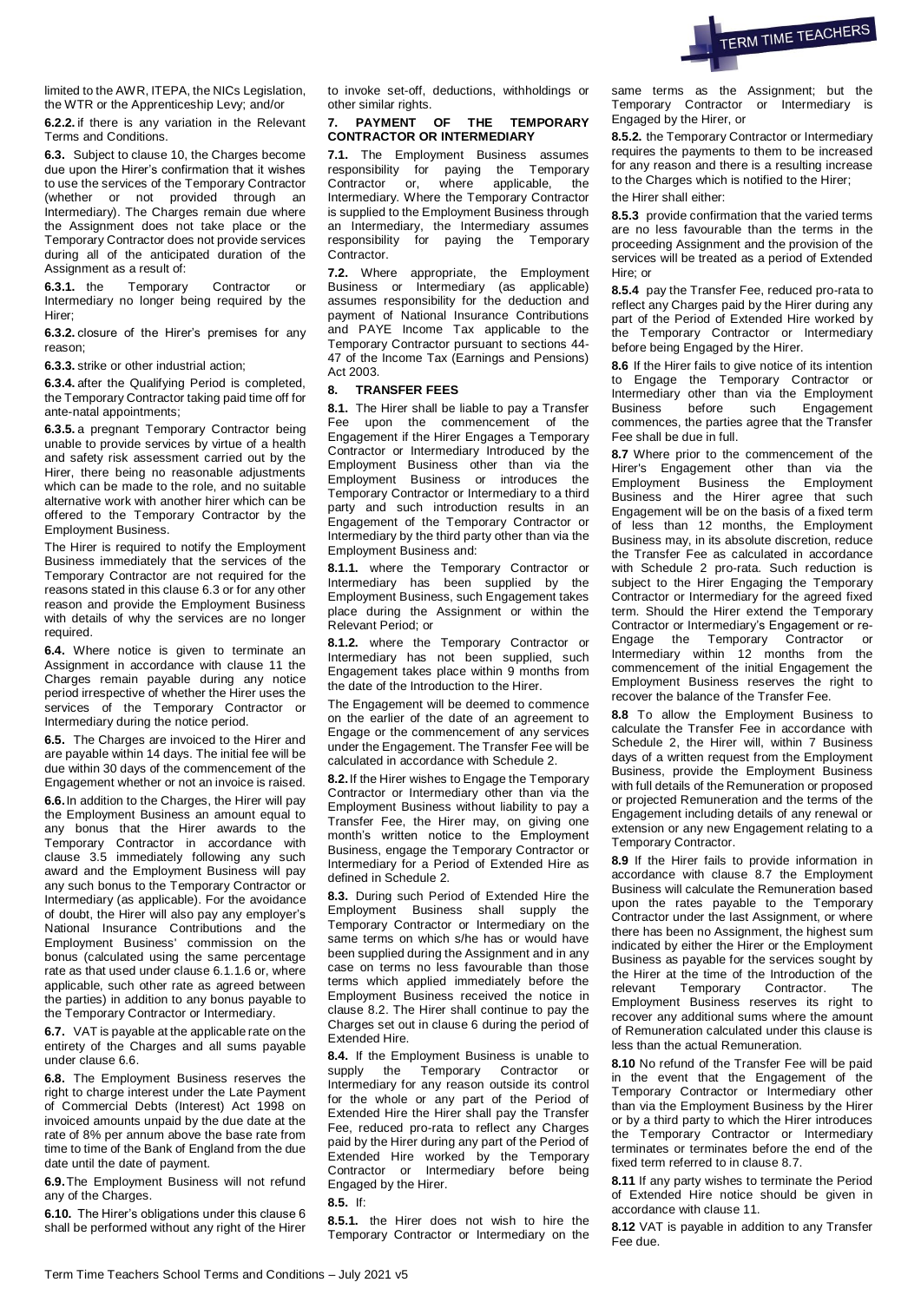

limited to the AWR, ITEPA, the NICs Legislation, the WTR or the Apprenticeship Levy; and/or

**6.2.2.** if there is any variation in the Relevant Terms and Conditions.

**6.3.** Subject to clause 10, the Charges become due upon the Hirer's confirmation that it wishes to use the services of the Temporary Contractor (whether or not provided through an Intermediary). The Charges remain due where the Assignment does not take place or the Temporary Contractor does not provide services during all of the anticipated duration of the Assignment as a result of:

**6.3.1.** the Temporary Contractor or Intermediary no longer being required by the Hirer;

**6.3.2.** closure of the Hirer's premises for any reason;

**6.3.3.** strike or other industrial action;

**6.3.4.** after the Qualifying Period is completed, the Temporary Contractor taking paid time off for ante-natal appointments;

**6.3.5.** a pregnant Temporary Contractor being unable to provide services by virtue of a health and safety risk assessment carried out by the Hirer, there being no reasonable adjustments which can be made to the role, and no suitable alternative work with another hirer which can be offered to the Temporary Contractor by the Employment Business.

The Hirer is required to notify the Employment Business immediately that the services of the Temporary Contractor are not required for the reasons stated in this clause 6.3 or for any other reason and provide the Employment Business with details of why the services are no longer required.

**6.4.** Where notice is given to terminate an Assignment in accordance with clause 11 the Charges remain payable during any notice period irrespective of whether the Hirer uses the services of the Temporary Contractor or Intermediary during the notice period.

**6.5.** The Charges are invoiced to the Hirer and are payable within 14 days. The initial fee will be due within 30 days of the commencement of the Engagement whether or not an invoice is raised.

**6.6.**In addition to the Charges, the Hirer will pay the Employment Business an amount equal to any bonus that the Hirer awards to the Temporary Contractor in accordance with clause 3.5 immediately following any such award and the Employment Business will pay any such bonus to the Temporary Contractor or Intermediary (as applicable). For the avoidance of doubt, the Hirer will also pay any employer's National Insurance Contributions and the Employment Business' commission on the bonus (calculated using the same percentage rate as that used under clause 6.1.1.6 or, where applicable, such other rate as agreed between the parties) in addition to any bonus payable to the Temporary Contractor or Intermediary.

**6.7.** VAT is payable at the applicable rate on the entirety of the Charges and all sums payable under clause 6.6.

**6.8.** The Employment Business reserves the right to charge interest under the Late Payment of Commercial Debts (Interest) Act 1998 on invoiced amounts unpaid by the due date at the rate of 8% per annum above the base rate from time to time of the Bank of England from the due date until the date of payment.

**6.9.**The Employment Business will not refund any of the Charges.

**6.10.** The Hirer's obligations under this clause 6 shall be performed without any right of the Hirer to invoke set-off, deductions, withholdings or other similar rights.

### **7. PAYMENT OF THE TEMPORARY CONTRACTOR OR INTERMEDIARY**

**7.1.** The Employment Business assumes responsibility for paying the Temporary<br>Contractor or, where applicable, the  $\overline{\phantom{a}}$  where applicable, the Intermediary. Where the Temporary Contractor is supplied to the Employment Business through an Intermediary, the Intermediary assumes responsibility for paying the Temporary Contractor.

**7.2.** Where appropriate, the Employment Business or Intermediary (as applicable) assumes responsibility for the deduction and payment of National Insurance Contributions and PAYE Income Tax applicable to the Temporary Contractor pursuant to sections 44- 47 of the Income Tax (Earnings and Pensions) Act 2003.

# **8. TRANSFER FEES**

**8.1.** The Hirer shall be liable to pay a Transfer Fee upon the commencement of the Engagement if the Hirer Engages a Temporary Contractor or Intermediary Introduced by the Employment Business other than via the Employment Business or introduces the Temporary Contractor or Intermediary to a third party and such introduction results in an Engagement of the Temporary Contractor or Intermediary by the third party other than via the Employment Business and:

**8.1.1.** where the Temporary Contractor or Intermediary has been supplied by the Employment Business, such Engagement takes place during the Assignment or within the Relevant Period; or

**8.1.2.** where the Temporary Contractor or Intermediary has not been supplied, such Engagement takes place within 9 months from the date of the Introduction to the Hirer.

The Engagement will be deemed to commence on the earlier of the date of an agreement to Engage or the commencement of any services under the Engagement. The Transfer Fee will be calculated in accordance with Schedule 2.

**8.2.**If the Hirer wishes to Engage the Temporary Contractor or Intermediary other than via the Employment Business without liability to pay a Transfer Fee, the Hirer may, on giving one month's written notice to the Employment Business, engage the Temporary Contractor or Intermediary for a Period of Extended Hire as defined in Schedule 2.

**8.3.** During such Period of Extended Hire the Employment Business shall supply the Temporary Contractor or Intermediary on the same terms on which s/he has or would have been supplied during the Assignment and in any case on terms no less favourable than those terms which applied immediately before the Employment Business received the notice in clause 8.2. The Hirer shall continue to pay the Charges set out in clause 6 during the period of Extended Hire.

**8.4.** If the Employment Business is unable to supply the Temporary Contractor or Intermediary for any reason outside its control for the whole or any part of the Period of Extended Hire the Hirer shall pay the Transfer Fee, reduced pro-rata to reflect any Charges paid by the Hirer during any part of the Period of Extended Hire worked by the Temporary Contractor or Intermediary before being Engaged by the Hirer.

**8.5.** If:

**8.5.1.** the Hirer does not wish to hire the Temporary Contractor or Intermediary on the same terms as the Assignment; but the Temporary Contractor or Intermediary is Engaged by the Hirer, or

**8.5.2.** the Temporary Contractor or Intermediary requires the payments to them to be increased for any reason and there is a resulting increase to the Charges which is notified to the Hirer; the Hirer shall either:

**8.5.3** provide confirmation that the varied terms are no less favourable than the terms in the proceeding Assignment and the provision of the services will be treated as a period of Extended Hire; or

**8.5.4** pay the Transfer Fee, reduced pro-rata to reflect any Charges paid by the Hirer during any part of the Period of Extended Hire worked by the Temporary Contractor or Intermediary before being Engaged by the Hirer.

**8.6** If the Hirer fails to give notice of its intention to Engage the Temporary Contractor or Intermediary other than via the Employment Business before such Engagement commences, the parties agree that the Transfer Fee shall be due in full.

**8.7** Where prior to the commencement of the Hirer's Engagement other than via the Employment Business the Employment Business and the Hirer agree that such Engagement will be on the basis of a fixed term of less than 12 months, the Employment Business may, in its absolute discretion, reduce the Transfer Fee as calculated in accordance with Schedule 2 pro-rata. Such reduction is subject to the Hirer Engaging the Temporary Contractor or Intermediary for the agreed fixed term. Should the Hirer extend the Temporary Contractor or Intermediary's Engagement or re-Engage the Temporary Contractor or Intermediary within 12 months from the commencement of the initial Engagement the Employment Business reserves the right to recover the balance of the Transfer Fee.

**8.8** To allow the Employment Business to calculate the Transfer Fee in accordance with Schedule 2, the Hirer will, within 7 Business days of a written request from the Employment Business, provide the Employment Business with full details of the Remuneration or proposed or projected Remuneration and the terms of the Engagement including details of any renewal or extension or any new Engagement relating to a Temporary Contractor.

**8.9** If the Hirer fails to provide information in accordance with clause 8.7 the Employment Business will calculate the Remuneration based upon the rates payable to the Temporary Contractor under the last Assignment, or where there has been no Assignment, the highest sum indicated by either the Hirer or the Employment Business as payable for the services sought by the Hirer at the time of the Introduction of the relevant Temporary Contractor. The Employment Business reserves its right to recover any additional sums where the amount of Remuneration calculated under this clause is less than the actual Remuneration.

**8.10** No refund of the Transfer Fee will be paid in the event that the Engagement of the Temporary Contractor or Intermediary other than via the Employment Business by the Hirer or by a third party to which the Hirer introduces the Temporary Contractor or Intermediary terminates or terminates before the end of the fixed term referred to in clause 8.7.

**8.11** If any party wishes to terminate the Period of Extended Hire notice should be given in accordance with clause 11.

**8.12** VAT is payable in addition to any Transfer Fee due.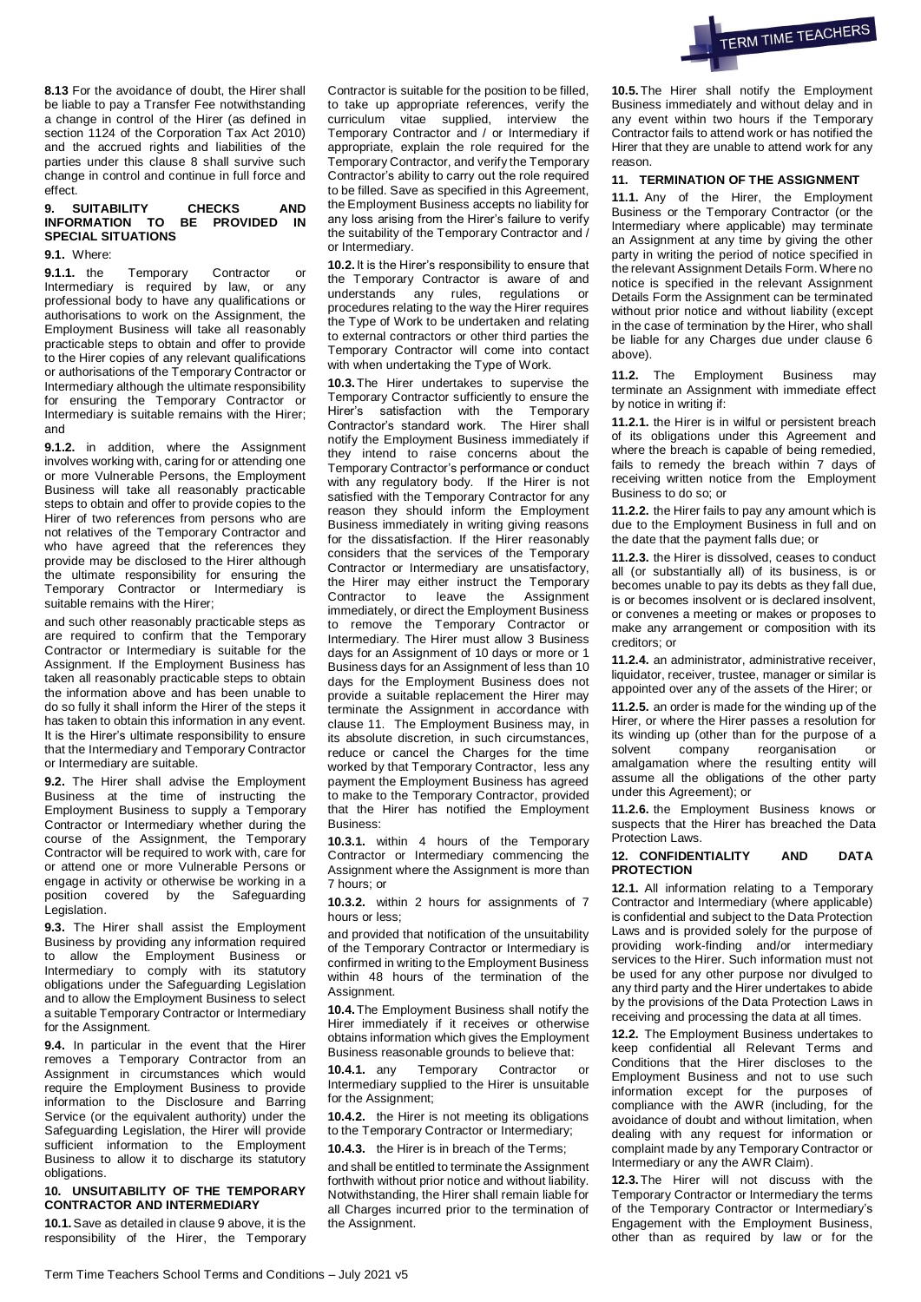

**8.13** For the avoidance of doubt, the Hirer shall be liable to pay a Transfer Fee notwithstanding a change in control of the Hirer (as defined in section 1124 of the Corporation Tax Act 2010) and the accrued rights and liabilities of the parties under this clause 8 shall survive such change in control and continue in full force and effect.

### **9. SUITABILITY CHECKS AND INFORMATION TO BE PROVIDED IN SPECIAL SITUATIONS**

**9.1.** Where:

**9.1.1.** the Temporary Contractor or Intermediary is required by law, or any professional body to have any qualifications or authorisations to work on the Assignment, the Employment Business will take all reasonably practicable steps to obtain and offer to provide to the Hirer copies of any relevant qualifications or authorisations of the Temporary Contractor or Intermediary although the ultimate responsibility for ensuring the Temporary Contractor or Intermediary is suitable remains with the Hirer; and

**9.1.2.** in addition, where the Assignment involves working with, caring for or attending one or more Vulnerable Persons, the Employment Business will take all reasonably practicable steps to obtain and offer to provide copies to the Hirer of two references from persons who are not relatives of the Temporary Contractor and who have agreed that the references they provide may be disclosed to the Hirer although the ultimate responsibility for ensuring the Temporary Contractor or Intermediary is suitable remains with the Hirer:

and such other reasonably practicable steps as are required to confirm that the Temporary Contractor or Intermediary is suitable for the Assignment. If the Employment Business has taken all reasonably practicable steps to obtain the information above and has been unable to do so fully it shall inform the Hirer of the steps it has taken to obtain this information in any event. It is the Hirer's ultimate responsibility to ensure that the Intermediary and Temporary Contractor or Intermediary are suitable.

**9.2.** The Hirer shall advise the Employment Business at the time of instructing the Employment Business to supply a Temporary Contractor or Intermediary whether during the course of the Assignment, the Temporary Contractor will be required to work with, care for or attend one or more Vulnerable Persons or engage in activity or otherwise be working in a position covered by the Safeguarding Legislation.

**9.3.** The Hirer shall assist the Employment Business by providing any information required to allow the Employment Business or Intermediary to comply with its statutory obligations under the Safeguarding Legislation and to allow the Employment Business to select a suitable Temporary Contractor or Intermediary for the Assignment.

**9.4.** In particular in the event that the Hirer removes a Temporary Contractor from an Assignment in circumstances which would require the Employment Business to provide information to the Disclosure and Barring Service (or the equivalent authority) under the Safeguarding Legislation, the Hirer will provide sufficient information to the Employment Business to allow it to discharge its statutory obligations.

## **10. UNSUITABILITY OF THE TEMPORARY CONTRACTOR AND INTERMEDIARY**

**10.1.**Save as detailed in clause 9 above, it is the responsibility of the Hirer, the Temporary Contractor is suitable for the position to be filled, to take up appropriate references, verify the curriculum vitae supplied, interview the Temporary Contractor and / or Intermediary if appropriate, explain the role required for the Temporary Contractor, and verify the Temporary Contractor's ability to carry out the role required to be filled. Save as specified in this Agreement, the Employment Business accepts no liability for any loss arising from the Hirer's failure to verify the suitability of the Temporary Contractor and / or Intermediary.

**10.2.** It is the Hirer's responsibility to ensure that the Temporary Contractor is aware of and understands any rules, regulations or procedures relating to the way the Hirer requires the Type of Work to be undertaken and relating to external contractors or other third parties the Temporary Contractor will come into contact with when undertaking the Type of Work.

**10.3.**The Hirer undertakes to supervise the Temporary Contractor sufficiently to ensure the Hirer's satisfaction with the Temporary Contractor's standard work. The Hirer shall notify the Employment Business immediately if they intend to raise concerns about the Temporary Contractor's performance or conduct with any regulatory body. If the Hirer is not satisfied with the Temporary Contractor for any reason they should inform the Employment Business immediately in writing giving reasons for the dissatisfaction. If the Hirer reasonably considers that the services of the Temporary Contractor or Intermediary are unsatisfactory, the Hirer may either instruct the Temporary Contractor to leave the Assignment immediately, or direct the Employment Business to remove the Temporary Contractor or Intermediary. The Hirer must allow 3 Business days for an Assignment of 10 days or more or 1 Business days for an Assignment of less than 10 days for the Employment Business does not provide a suitable replacement the Hirer may terminate the Assignment in accordance with clause 11. The Employment Business may, in its absolute discretion, in such circumstances, reduce or cancel the Charges for the time worked by that Temporary Contractor, less any payment the Employment Business has agreed to make to the Temporary Contractor, provided that the Hirer has notified the Employment Business:

**10.3.1.** within 4 hours of the Temporary Contractor or Intermediary commencing the Assignment where the Assignment is more than 7 hours; or

**10.3.2.** within 2 hours for assignments of 7 hours or less;

and provided that notification of the unsuitability of the Temporary Contractor or Intermediary is confirmed in writing to the Employment Business within 48 hours of the termination of the Assignment.

**10.4.**The Employment Business shall notify the Hirer immediately if it receives or otherwise obtains information which gives the Employment Business reasonable grounds to believe that:

**10.4.1.** any Temporary Contractor or Intermediary supplied to the Hirer is unsuitable for the Assignment:

**10.4.2.** the Hirer is not meeting its obligations to the Temporary Contractor or Intermediary;

**10.4.3.** the Hirer is in breach of the Terms;

and shall be entitled to terminate the Assignment forthwith without prior notice and without liability. Notwithstanding, the Hirer shall remain liable for all Charges incurred prior to the termination of the Assignment.

**10.5.**The Hirer shall notify the Employment Business immediately and without delay and in any event within two hours if the Temporary Contractor fails to attend work or has notified the Hirer that they are unable to attend work for any reason.

### **11. TERMINATION OF THE ASSIGNMENT**

**11.1.** Any of the Hirer, the Employment Business or the Temporary Contractor (or the Intermediary where applicable) may terminate an Assignment at any time by giving the other party in writing the period of notice specified in the relevant Assignment Details Form. Where no notice is specified in the relevant Assignment Details Form the Assignment can be terminated without prior notice and without liability (except in the case of termination by the Hirer, who shall be liable for any Charges due under clause 6 above).

**11.2.** The Employment Business may terminate an Assignment with immediate effect by notice in writing if:

**11.2.1.** the Hirer is in wilful or persistent breach of its obligations under this Agreement and where the breach is capable of being remedied, fails to remedy the breach within 7 days of receiving written notice from the Employment Business to do so; or

**11.2.2.** the Hirer fails to pay any amount which is due to the Employment Business in full and on the date that the payment falls due; or

**11.2.3.** the Hirer is dissolved, ceases to conduct all (or substantially all) of its business, is or becomes unable to pay its debts as they fall due, is or becomes insolvent or is declared insolvent, or convenes a meeting or makes or proposes to make any arrangement or composition with its creditors; or

**11.2.4.** an administrator, administrative receiver, liquidator, receiver, trustee, manager or similar is appointed over any of the assets of the Hirer; or

**11.2.5.** an order is made for the winding up of the Hirer, or where the Hirer passes a resolution for its winding up (other than for the purpose of a solvent company reorganisation or amalgamation where the resulting entity will assume all the obligations of the other party under this Agreement); or

**11.2.6.** the Employment Business knows or suspects that the Hirer has breached the Data Protection Laws.

#### **12. CONFIDENTIALITY AND DATA PROTECTION**

**12.1.** All information relating to a Temporary Contractor and Intermediary (where applicable) is confidential and subject to the Data Protection Laws and is provided solely for the purpose of providing work-finding and/or intermediary services to the Hirer. Such information must not be used for any other purpose nor divulged to any third party and the Hirer undertakes to abide by the provisions of the Data Protection Laws in receiving and processing the data at all times.

**12.2.** The Employment Business undertakes to keep confidential all Relevant Terms and Conditions that the Hirer discloses to the Employment Business and not to use such information except for the purposes of compliance with the AWR (including, for the avoidance of doubt and without limitation, when dealing with any request for information or complaint made by any Temporary Contractor or Intermediary or any the AWR Claim).

**12.3.**The Hirer will not discuss with the Temporary Contractor or Intermediary the terms of the Temporary Contractor or Intermediary's Engagement with the Employment Business, other than as required by law or for the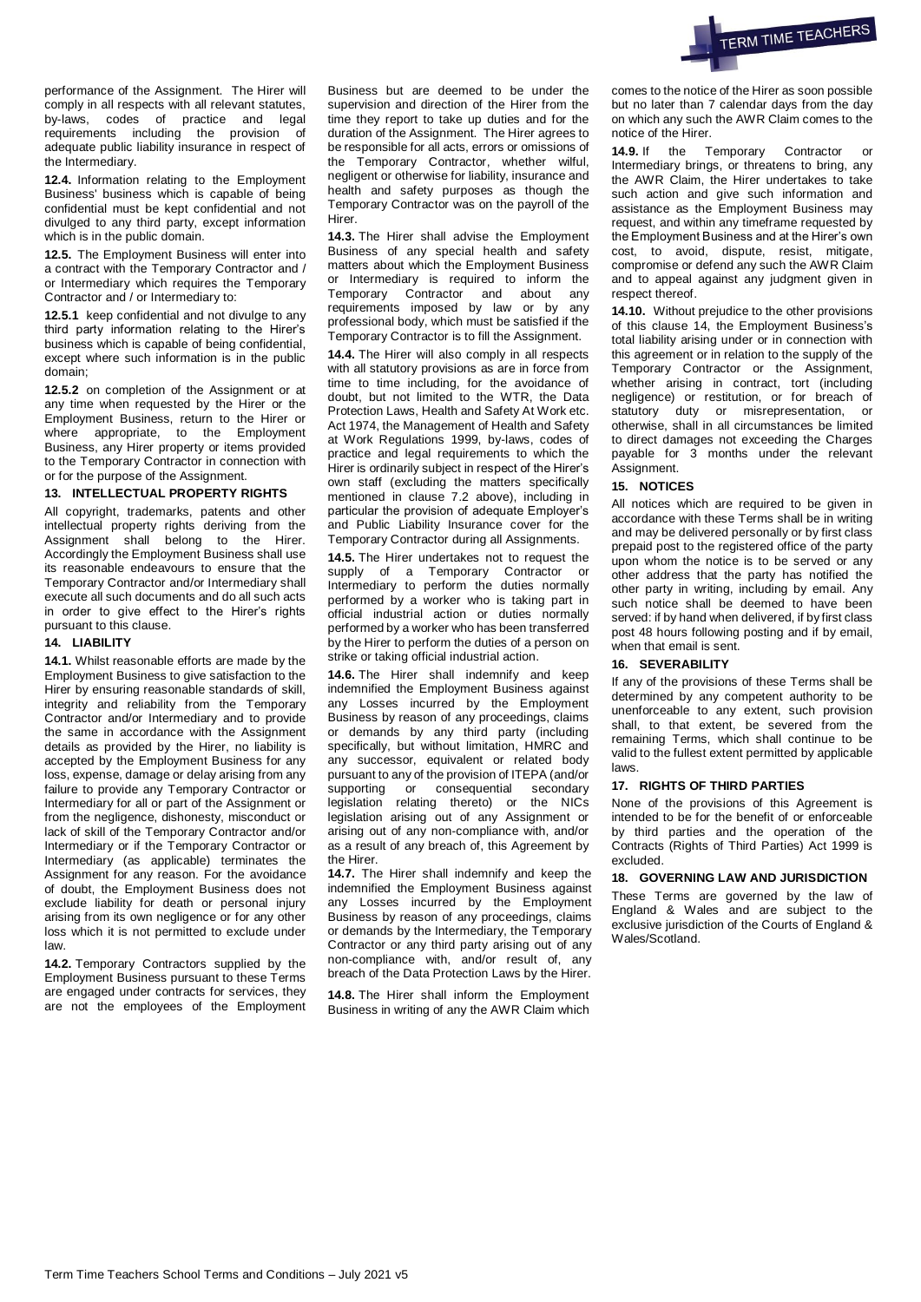

performance of the Assignment. The Hirer will comply in all respects with all relevant statutes, by-laws, codes of practice and legal requirements including the provision of adequate public liability insurance in respect of the Intermediary.

**12.4.** Information relating to the Employment Business' business which is capable of being confidential must be kept confidential and not divulged to any third party, except information which is in the public domain.

**12.5.** The Employment Business will enter into a contract with the Temporary Contractor and / or Intermediary which requires the Temporary Contractor and / or Intermediary to:

**12.5.1** keep confidential and not divulge to any third party information relating to the Hirer's business which is capable of being confidential, except where such information is in the public domain;

**12.5.2** on completion of the Assignment or at any time when requested by the Hirer or the Employment Business, return to the Hirer or where appropriate, to the Employment Business, any Hirer property or items provided to the Temporary Contractor in connection with or for the purpose of the Assignment.

## **13. INTELLECTUAL PROPERTY RIGHTS**

All copyright, trademarks, patents and other intellectual property rights deriving from the Assignment shall belong to the Hirer. Accordingly the Employment Business shall use its reasonable endeavours to ensure that the Temporary Contractor and/or Intermediary shall execute all such documents and do all such acts in order to give effect to the Hirer's rights pursuant to this clause.

## **14. LIABILITY**

**14.1.** Whilst reasonable efforts are made by the Employment Business to give satisfaction to the Hirer by ensuring reasonable standards of skill, integrity and reliability from the Temporary Contractor and/or Intermediary and to provide the same in accordance with the Assignment details as provided by the Hirer, no liability is accepted by the Employment Business for any loss, expense, damage or delay arising from any failure to provide any Temporary Contractor or Intermediary for all or part of the Assignment or from the negligence, dishonesty, misconduct or lack of skill of the Temporary Contractor and/or Intermediary or if the Temporary Contractor or Intermediary (as applicable) terminates the Assignment for any reason. For the avoidance of doubt, the Employment Business does not exclude liability for death or personal injury arising from its own negligence or for any other loss which it is not permitted to exclude under law.

**14.2.** Temporary Contractors supplied by the Employment Business pursuant to these Terms are engaged under contracts for services, they are not the employees of the Employment Business but are deemed to be under the supervision and direction of the Hirer from the time they report to take up duties and for the duration of the Assignment. The Hirer agrees to be responsible for all acts, errors or omissions of the Temporary Contractor, whether wilful, negligent or otherwise for liability, insurance and health and safety purposes as though the Temporary Contractor was on the payroll of the Hirer.

**14.3.** The Hirer shall advise the Employment Business of any special health and safety matters about which the Employment Business or Intermediary is required to inform the Temporary Contractor and about any requirements imposed by law or by any professional body, which must be satisfied if the Temporary Contractor is to fill the Assignment.

**14.4.** The Hirer will also comply in all respects with all statutory provisions as are in force from time to time including, for the avoidance of doubt, but not limited to the WTR, the Data Protection Laws, Health and Safety At Work etc. Act 1974, the Management of Health and Safety at Work Regulations 1999, by-laws, codes of practice and legal requirements to which the Hirer is ordinarily subject in respect of the Hirer's own staff (excluding the matters specifically mentioned in clause 7.2 above), including in particular the provision of adequate Employer's and Public Liability Insurance cover for the Temporary Contractor during all Assignments.

**14.5.** The Hirer undertakes not to request the supply of a Temporary Contractor or Intermediary to perform the duties normally performed by a worker who is taking part in official industrial action or duties normally performed by a worker who has been transferred by the Hirer to perform the duties of a person on strike or taking official industrial action.

**14.6.** The Hirer shall indemnify and keep indemnified the Employment Business against any Losses incurred by the Employment Business by reason of any proceedings, claims or demands by any third party (including specifically, but without limitation, HMRC and any successor, equivalent or related body pursuant to any of the provision of ITEPA (and/or supporting or consequential secondary legislation relating thereto) or the NICs legislation arising out of any Assignment or arising out of any non-compliance with, and/or as a result of any breach of, this Agreement by the Hirer.

**14.7.** The Hirer shall indemnify and keep the indemnified the Employment Business against any Losses incurred by the Employment Business by reason of any proceedings, claims or demands by the Intermediary, the Temporary Contractor or any third party arising out of any non-compliance with, and/or result of, any breach of the Data Protection Laws by the Hirer.

**14.8.** The Hirer shall inform the Employment Business in writing of any the AWR Claim which comes to the notice of the Hirer as soon possible but no later than 7 calendar days from the day on which any such the AWR Claim comes to the notice of the Hirer.

**14.9.** If the Temporary Contractor or Intermediary brings, or threatens to bring, any the AWR Claim, the Hirer undertakes to take such action and give such information and assistance as the Employment Business may request, and within any timeframe requested by the Employment Business and at the Hirer's own cost, to avoid, dispute, resist, mitigate, compromise or defend any such the AWR Claim and to appeal against any judgment given in respect thereof.

**14.10.** Without prejudice to the other provisions of this clause 14, the Employment Business's total liability arising under or in connection with this agreement or in relation to the supply of the Temporary Contractor or the Assignment, whether arising in contract, tort (including negligence) or restitution, or for breach of statutory duty or misrepresentation, or otherwise, shall in all circumstances be limited to direct damages not exceeding the Charges payable for 3 months under the relevant Assignment.

## **15. NOTICES**

All notices which are required to be given in accordance with these Terms shall be in writing and may be delivered personally or by first class prepaid post to the registered office of the party upon whom the notice is to be served or any other address that the party has notified the other party in writing, including by email. Any such notice shall be deemed to have been served: if by hand when delivered, if by first class post 48 hours following posting and if by email, when that email is sent.

#### **16. SEVERABILITY**

If any of the provisions of these Terms shall be determined by any competent authority to be unenforceable to any extent, such provision shall, to that extent, be severed from the remaining Terms, which shall continue to be valid to the fullest extent permitted by applicable laws.

# **17. RIGHTS OF THIRD PARTIES**

None of the provisions of this Agreement is intended to be for the benefit of or enforceable by third parties and the operation of the Contracts (Rights of Third Parties) Act 1999 is excluded.

### **18. GOVERNING LAW AND JURISDICTION**

These Terms are governed by the law of England & Wales and are subject to the exclusive jurisdiction of the Courts of England & Wales/Scotland.